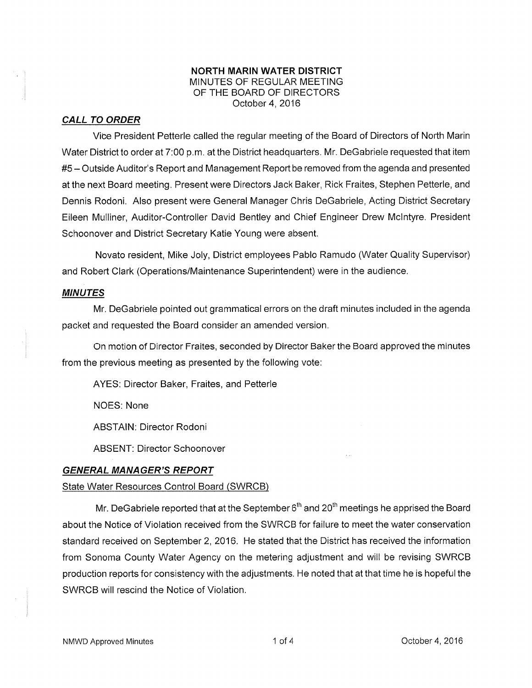## NORTH MARIN WATER DISTRICT MINUTES OF REGULAR MEETING OF THE BOARD OF DIRECTORS October 4,2016

# CALL TO ORDER

ViCe President Petterle called the regular meeting of the Board of Directors of North Marin Water District to order at 7:00 p.m. at the District headquarters. Mr. DeGabriele requested that item #5 - Outside Auditor's Report and Management Reporl be removed from the agenda and presented at the next Board meeting. Present were Directors Jack Baker, Rick Fraites, Stephen Petterle, and Dennis Rodoni. Also present were General Manager Chris DeGabriele, Acting District Secretary Eileen Mulliner, Auditor-Controller David Bentley and Chief Engineer Drew Mclntyre. President Schoonover and District Secretary Katie Young were absent.

Novato resident, Mike Joly, District employees Pablo Ramudo (Water Quality Supervisor) and Robert Clark (Operations/Maintenance Superintendent)were in the audience.

## MINUTES

Mr. DeGabriele pointed out grammatical errors on the draft minutes included in the agenda packet and requested the Board consider an amended version.

On motion of Director Fraites, seconded by Director Baker the Board approved the minutes from the previous meeting as presented by the following vote:

AYES: Director Baker, Fraites, and Petterle

NOES: None

ABSTAIN: Director Rodoni

ABSENT: Director Schoonover

# GENERAL MANAGER'S REPORT

# State Water Resources Control Board (SWRCB)

Mr. DeGabriele reported that at the September  $6<sup>th</sup>$  and 20<sup>th</sup> meetings he apprised the Board about the Notice of Violation received from the SWRCB for failure to meet the water conservation standard received on September 2,2016. He stated that the District has received the information from Sonoma County Water Agency on the metering adjustment and will be revising SWRCB production reports for consistency with the adjustments. He noted that at that time he is hopeful the SWRCB will rescind the Notice of Violation.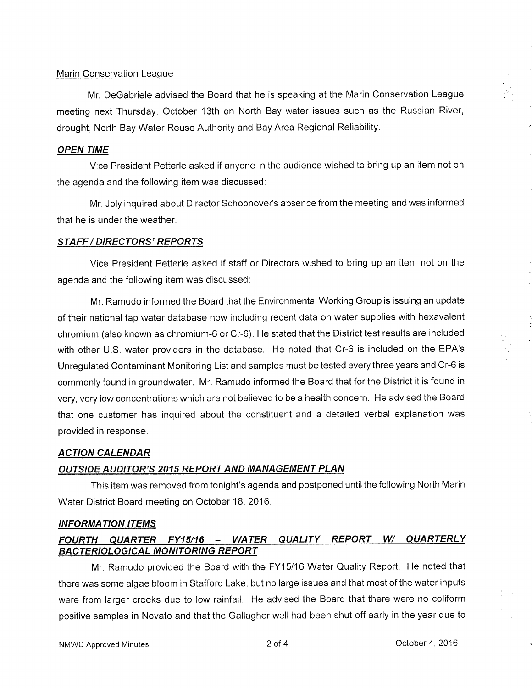## Marin Conservation League

Mr. DeGabriele advised the Board that he is speaking at the Marin Conservation League meeting next Thursday, October 13th on North Bay water issues such as the Russian River, drought, North Bay Water Reuse Authority and Bay Area Regional Reliability.

## OPEN TIME

Vice President Petterle asked if anyone in the audience wished to bring up an item not on the agenda and the following item was discussed:

Mr. Joly inquired about Director Schoonover's absence from the meeting and was informed that he is under the weather.

### STAFF / DIRECTORS'REPORIS

Vice President Petterle asked if staff or Directors wished to bring up an item not on the agenda and the following item was discussed:

Mr. Ramudo informed the Board that the Environmental Working Group is issuing an update of their national tap water database now including recent data on water supplies with hexavalent chromium (also known as chromium-6 or Cr-6). He stated that the District test results are included with other U.S. water providers in the database. He noted that Cr-6 is included on the EPA's Unregulated Contaminant Monitoring List and samples must be tested every three years and Cr-6 is commonly found in groundwater. Mr. Ramudo informed the Board that for the District it is found in very, very low concentrations which are not believed to be a health concern. He advised the Board that one customer has inquired about the constituent and a detailed verbal explanation was provided in response.

#### ACTION CALENDAR

### **OUTSIDE AUDITOR'S 2015 REPORT AND MANAGEMENT PLAN**

This item was removed from tonight's agenda and postponed until the following North Marin Water District Board meeting on October 18,2016.

## INFORMATION ITEMS

# FOURTH QUARTER FY15/16 - WATER QUALITY REPORT W/ QUARTERLY BACTERIOLOGICAL MONITORING REPORT

Mr. Ramudo provided the Board with the FY15116 Water Quality Reporl. He noted that there was some algae bloom in Stafford Lake, but no large issues and that most of the water inputs were from larger creeks due to low rainfall. He advised the Board that there were no coliform positive samples in Novato and that the Gallagher well had been shut off early in the year due to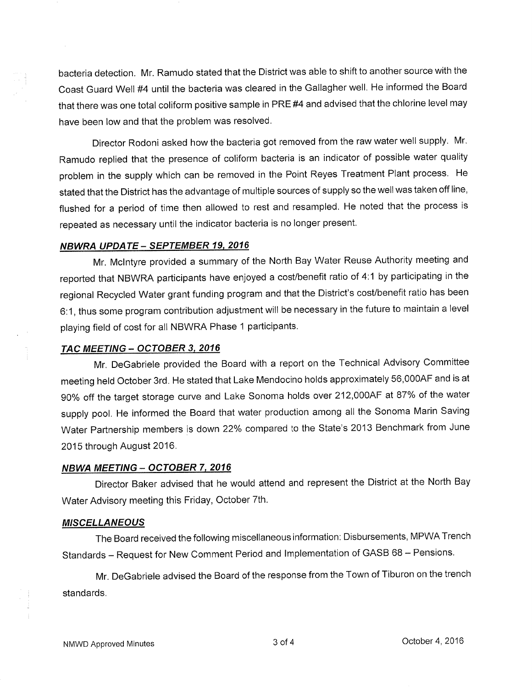bacteria detection. Mr. Ramudo stated that the District was able to shift to another source with the Coast Guard Well #4 until the bacteria was cleared in the Gallagher well. He informed the Board that there was one total coliform positive sample in PRE #4 and advised that the chlorine level may have been low and that the problem was resolved.

Director Rodoni asked how the bacteria got removed from the raw water well supply. Mr' Ramudo replied that the presence of coliform bacteria is an indicator of possible water quality problem in the supply which can be removed in the Point Reyes Treatment Plant process. He stated that the District has the advantage of multiple sources of supply so the well was taken off line, flushed for a period of time then allowed to rest and resampled. He noted that the process is repeated as necessary until the indicator bacteria is no longer present.

#### NBWRA UPDATE \_ SEPTEMBER 19. 2016

Mr. Mclntyre provided a summary of the North Bay Water Reuse Authority meeting and reporled that NBWRA participants have enjoyed a cost/benefit ratio of 4'.1 by participating in the regional Recycled Water grant funding program and that the District's cost/benefit ratio has been 6:1, thus some program contribution adjustment will be necessary in the future to maintain a level playing field of cost for all NBWRA Phase 1 participants.

#### TAC MEETING - OCTOBER 3, 2016

Mr. DeGabriele provided the Board with a report on the Technical Advisory Committee meeting held October 3rd. He stated that Lake Mendocino holds approximately 56,0004F and is at 90% off the target storage curve and Lake Sonoma holds over 212,000AF at 87% of the water supply pool. He informed the Board that water production among all the Sonoma Marin Saving Water Partnership members is down 22% compared to the State's 2013 Benchmark from June 2015 through August 2016.

#### NBWA MEETING - OCTOBER 7, 2016

Director Baker advised that he would attend and represent the District at the North Bay Water Advisory meeting this Friday, October 7th.

#### MISCELLANEOUS

The Board received the following miscellaneous information: Disbursements, MPWA Trench Standards - Request for New Comment Period and Implementation of GASB 68 - Pensions.

Mr. DeGabriele advised the Board of the response from the Town of Tiburon on the trench standards.